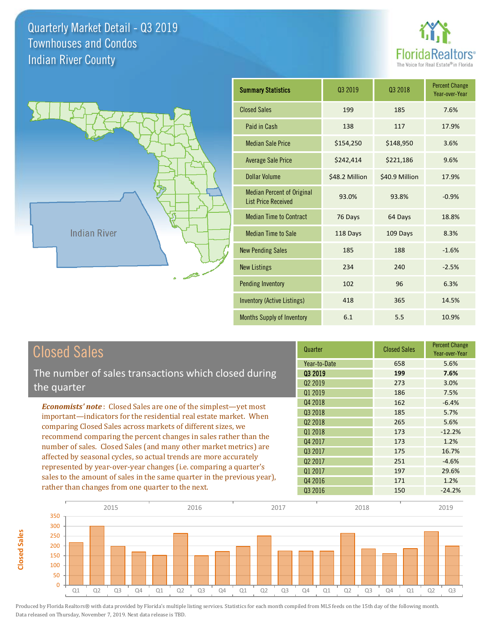**Closed Sales**

**Closed Sales** 





| <b>Summary Statistics</b>                                       | Q3 2019        | Q3 2018        | <b>Percent Change</b><br>Year-over-Year |
|-----------------------------------------------------------------|----------------|----------------|-----------------------------------------|
| <b>Closed Sales</b>                                             | 199            | 185            | 7.6%                                    |
| Paid in Cash                                                    | 138            | 117            | 17.9%                                   |
| <b>Median Sale Price</b>                                        | \$154,250      | \$148,950      | 3.6%                                    |
| <b>Average Sale Price</b>                                       | \$242,414      | \$221,186      | 9.6%                                    |
| <b>Dollar Volume</b>                                            | \$48.2 Million | \$40.9 Million | 17.9%                                   |
| <b>Median Percent of Original</b><br><b>List Price Received</b> | 93.0%          | 93.8%          | $-0.9%$                                 |
| <b>Median Time to Contract</b>                                  | 76 Days        | 64 Days        | 18.8%                                   |
| <b>Median Time to Sale</b>                                      | 118 Days       | 109 Days       | 8.3%                                    |
| <b>New Pending Sales</b>                                        | 185            | 188            | $-1.6%$                                 |
| <b>New Listings</b>                                             | 234            | 240            | $-2.5%$                                 |
| <b>Pending Inventory</b>                                        | 102            | 96             | 6.3%                                    |
| Inventory (Active Listings)                                     | 418            | 365            | 14.5%                                   |
| Months Supply of Inventory                                      | 6.1            | 5.5            | 10.9%                                   |

| <b>Closed Sales</b>                                                                                                                   | Quarter             | <b>Closed Sales</b> | <b>Percent Change</b><br>Year-over-Year |
|---------------------------------------------------------------------------------------------------------------------------------------|---------------------|---------------------|-----------------------------------------|
|                                                                                                                                       | Year-to-Date        | 658                 | 5.6%                                    |
| The number of sales transactions which closed during                                                                                  | 03 2019             | 199                 | 7.6%                                    |
| the quarter                                                                                                                           | Q <sub>2</sub> 2019 | 273                 | 3.0%                                    |
|                                                                                                                                       | Q1 2019             | 186                 | 7.5%                                    |
| <b>Economists' note:</b> Closed Sales are one of the simplest—yet most                                                                | Q4 2018             | 162                 | $-6.4%$                                 |
| important—indicators for the residential real estate market. When                                                                     | Q3 2018             | 185                 | 5.7%                                    |
| comparing Closed Sales across markets of different sizes, we                                                                          | 02 2018             | 265                 | 5.6%                                    |
| recommend comparing the percent changes in sales rather than the<br>number of sales. Closed Sales (and many other market metrics) are | Q1 2018             | 173                 | $-12.2%$                                |
|                                                                                                                                       | Q4 2017             | 173                 | 1.2%                                    |
|                                                                                                                                       | Q3 2017             | 175                 | 16.7%                                   |
| affected by seasonal cycles, so actual trends are more accurately                                                                     | Q <sub>2</sub> 2017 | 251                 | $-4.6%$                                 |
| represented by year-over-year changes (i.e. comparing a quarter's                                                                     | Q1 2017             | 197                 | 29.6%                                   |
| sales to the amount of sales in the same quarter in the previous year),                                                               | Q4 2016             | 171                 | 1.2%                                    |
| rather than changes from one quarter to the next.                                                                                     | Q3 2016             | 150                 | $-24.2%$                                |

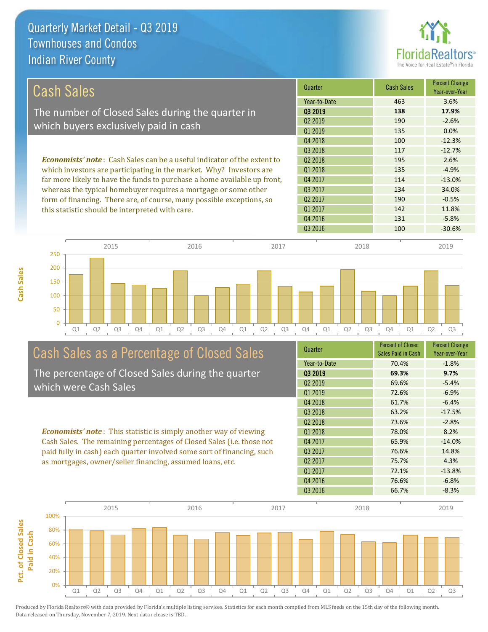**Cash Sales**



| <b>Cash Sales</b>                                                              | Quarter             | <b>Cash Sales</b> | <b>Percent Change</b><br>Year-over-Year |
|--------------------------------------------------------------------------------|---------------------|-------------------|-----------------------------------------|
|                                                                                | Year-to-Date        | 463               | 3.6%                                    |
| The number of Closed Sales during the quarter in                               | 03 2019             | 138               | 17.9%                                   |
| which buyers exclusively paid in cash                                          | 02 2019             | 190               | $-2.6%$                                 |
|                                                                                | Q1 2019             | 135               | 0.0%                                    |
|                                                                                | Q4 2018             | 100               | $-12.3%$                                |
|                                                                                | 03 2018             | 117               | $-12.7%$                                |
| <b>Economists' note:</b> Cash Sales can be a useful indicator of the extent to | 02 2018             | 195               | 2.6%                                    |
| which investors are participating in the market. Why? Investors are            | 01 2018             | 135               | $-4.9%$                                 |
| far more likely to have the funds to purchase a home available up front,       | Q4 2017             | 114               | $-13.0%$                                |
| whereas the typical homebuyer requires a mortgage or some other                | Q3 2017             | 134               | 34.0%                                   |
| form of financing. There are, of course, many possible exceptions, so          | Q <sub>2</sub> 2017 | 190               | $-0.5%$                                 |
| this statistic should be interpreted with care.                                | Q1 2017             | 142               | 11.8%                                   |
|                                                                                | Q4 2016             | 131               | $-5.8%$                                 |



# Cash Sales as a Percentage of Closed Sales

The percentage of Closed Sales during the quarter which were Cash Sales

*Economists' note* : This statistic is simply another way of viewing Cash Sales. The remaining percentages of Closed Sales (i.e. those not paid fully in cash) each quarter involved some sort of financing, such as mortgages, owner/seller financing, assumed loans, etc.



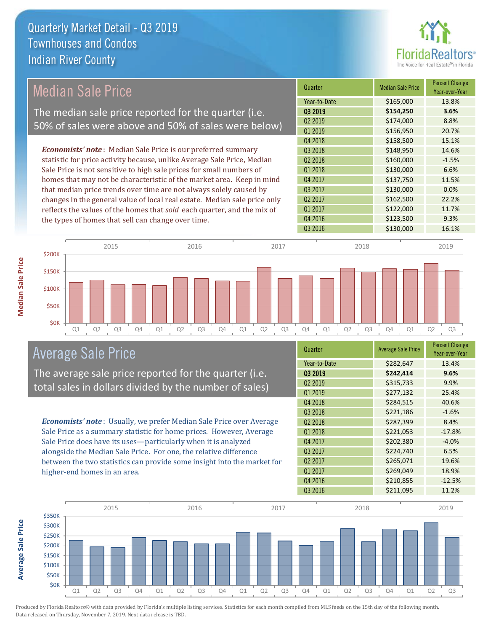

## Median Sale Price

The median sale price reported for the quarter (i.e. 50% of sales were above and 50% of sales were below)

*Economists' note* : Median Sale Price is our preferred summary statistic for price activity because, unlike Average Sale Price, Median Sale Price is not sensitive to high sale prices for small numbers of homes that may not be characteristic of the market area. Keep in mind that median price trends over time are not always solely caused by changes in the general value of local real estate. Median sale price only reflects the values of the homes that *sold* each quarter, and the mix of the types of homes that sell can change over time.

| Quarter             | <b>Median Sale Price</b> | <b>Percent Change</b><br>Year-over-Year |
|---------------------|--------------------------|-----------------------------------------|
| Year-to-Date        | \$165,000                | 13.8%                                   |
| 03 2019             | \$154,250                | 3.6%                                    |
| Q <sub>2</sub> 2019 | \$174,000                | 8.8%                                    |
| Q1 2019             | \$156,950                | 20.7%                                   |
| Q4 2018             | \$158,500                | 15.1%                                   |
| Q3 2018             | \$148,950                | 14.6%                                   |
| Q <sub>2</sub> 2018 | \$160,000                | $-1.5%$                                 |
| Q1 2018             | \$130,000                | 6.6%                                    |
| Q4 2017             | \$137,750                | 11.5%                                   |
| Q3 2017             | \$130,000                | 0.0%                                    |
| Q <sub>2</sub> 2017 | \$162,500                | 22.2%                                   |
| Q1 2017             | \$122,000                | 11.7%                                   |
| Q4 2016             | \$123,500                | 9.3%                                    |
| Q3 2016             | \$130,000                | 16.1%                                   |



### Average Sale Price

The average sale price reported for the quarter (i.e. total sales in dollars divided by the number of sales)

*Economists' note* : Usually, we prefer Median Sale Price over Average Sale Price as a summary statistic for home prices. However, Average Sale Price does have its uses—particularly when it is analyzed alongside the Median Sale Price. For one, the relative difference between the two statistics can provide some insight into the market for higher-end homes in an area.

| Quarter             | <b>Average Sale Price</b> | <b>Percent Change</b><br>Year-over-Year |
|---------------------|---------------------------|-----------------------------------------|
| Year-to-Date        | \$282,647                 | 13.4%                                   |
| Q3 2019             | \$242,414                 | 9.6%                                    |
| Q <sub>2</sub> 2019 | \$315,733                 | 9.9%                                    |
| Q1 2019             | \$277,132                 | 25.4%                                   |
| Q4 2018             | \$284,515                 | 40.6%                                   |
| Q3 2018             | \$221,186                 | $-1.6%$                                 |
| Q <sub>2</sub> 2018 | \$287,399                 | 8.4%                                    |
| Q1 2018             | \$221,053                 | $-17.8%$                                |
| Q4 2017             | \$202,380                 | $-4.0%$                                 |
| Q3 2017             | \$224,740                 | 6.5%                                    |
| Q <sub>2</sub> 2017 | \$265,071                 | 19.6%                                   |
| Q1 2017             | \$269,049                 | 18.9%                                   |
| Q4 2016             | \$210,855                 | $-12.5%$                                |
| Q3 2016             | \$211,095                 | 11.2%                                   |



**Average Sale Price**

**Average Sale Price**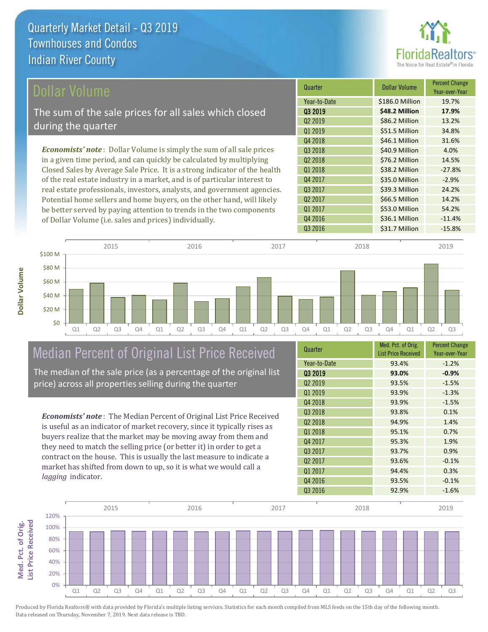

| <b>Dollar Volume</b>                                                         | Quarter             | <b>Dollar Volume</b> | <b>Percent Change</b><br>Year-over-Year |
|------------------------------------------------------------------------------|---------------------|----------------------|-----------------------------------------|
|                                                                              | Year-to-Date        | \$186.0 Million      | 19.7%                                   |
| The sum of the sale prices for all sales which closed                        | 03 2019             | \$48.2 Million       | 17.9%                                   |
| during the quarter                                                           | Q <sub>2</sub> 2019 | \$86.2 Million       | 13.2%                                   |
|                                                                              | Q1 2019             | \$51.5 Million       | 34.8%                                   |
|                                                                              | Q4 2018             | \$46.1 Million       | 31.6%                                   |
| <b>Economists' note</b> : Dollar Volume is simply the sum of all sale prices | 03 2018             | \$40.9 Million       | 4.0%                                    |
| in a given time period, and can quickly be calculated by multiplying         | Q <sub>2</sub> 2018 | \$76.2 Million       | 14.5%                                   |
| Closed Sales by Average Sale Price. It is a strong indicator of the health   | Q1 2018             | \$38.2 Million       | $-27.8%$                                |
| of the real estate industry in a market, and is of particular interest to    | Q4 2017             | \$35.0 Million       | $-2.9%$                                 |
| real estate professionals, investors, analysts, and government agencies.     | Q3 2017             | \$39.3 Million       | 24.2%                                   |
| Potential home sellers and home buyers, on the other hand, will likely       | Q <sub>2</sub> 2017 | \$66.5 Million       | 14.2%                                   |
| be better served by paying attention to trends in the two components         | Q1 2017             | \$53.0 Million       | 54.2%                                   |
| of Dollar Volume (i.e. sales and prices) individually                        | Q4 2016             | \$36.1 Million       | $-11.4%$                                |

Q3 2016 **431.7 Million** -15.8% Q1 Q2 Q3 Q4 Q1 Q2 Q3 Q4 Q1 Q2 Q3 Q4 Q1 Q2 Q3 Q4 Q1 Q2 Q3 \$0 \$20 M \$40 M \$60 M \$80 M \$100 M 2015 2016 2017 2018 2019

## Median Percent of Original List Price Received

of Dollar Volume (i.e. sales and prices) individually.

The median of the sale price (as a percentage of the original list price) across all properties selling during the quarter

*Economists' note* : The Median Percent of Original List Price Received is useful as an indicator of market recovery, since it typically rises as buyers realize that the market may be moving away from them and they need to match the selling price (or better it) in order to get a contract on the house. This is usually the last measure to indicate a market has shifted from down to up, so it is what we would call a *lagging* indicator.

| Quarter             | Med. Pct. of Orig.<br><b>List Price Received</b> | <b>Percent Change</b><br>Year-over-Year |
|---------------------|--------------------------------------------------|-----------------------------------------|
| Year-to-Date        | 93.4%                                            | $-1.2%$                                 |
| 03 2019             | 93.0%                                            | $-0.9%$                                 |
| Q <sub>2</sub> 2019 | 93.5%                                            | $-1.5%$                                 |
| 01 2019             | 93.9%                                            | $-1.3%$                                 |
| Q4 2018             | 93.9%                                            | $-1.5%$                                 |
| Q3 2018             | 93.8%                                            | 0.1%                                    |
| Q <sub>2</sub> 2018 | 94.9%                                            | 1.4%                                    |
| 01 2018             | 95.1%                                            | 0.7%                                    |
| Q4 2017             | 95.3%                                            | 1.9%                                    |
| Q3 2017             | 93.7%                                            | 0.9%                                    |
| 02 2017             | 93.6%                                            | $-0.1%$                                 |
| Q1 2017             | 94.4%                                            | 0.3%                                    |
| Q4 2016             | 93.5%                                            | $-0.1%$                                 |
| Q3 2016             | 92.9%                                            | $-1.6%$                                 |

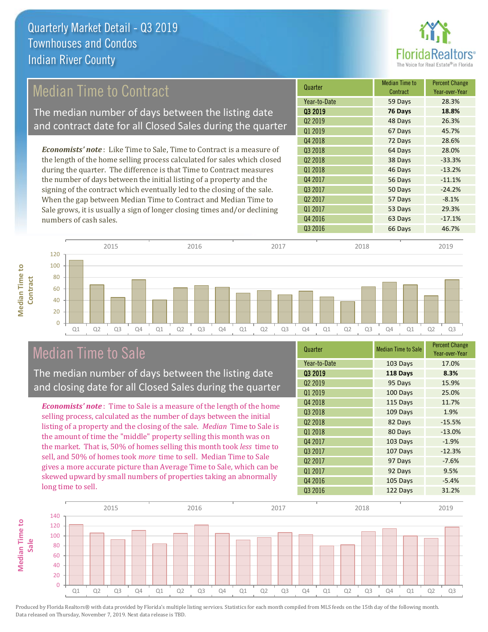

## Median Time to Contract

The median number of days between the listing date and contract date for all Closed Sales during the quarter

*Economists' note* : Like Time to Sale, Time to Contract is a measure of the length of the home selling process calculated for sales which closed during the quarter. The difference is that Time to Contract measures the number of days between the initial listing of a property and the signing of the contract which eventually led to the closing of the sale. When the gap between Median Time to Contract and Median Time to Sale grows, it is usually a sign of longer closing times and/or declining numbers of cash sales.

| Quarter             | <b>Median Time to</b><br>Contract | <b>Percent Change</b><br>Year-over-Year |
|---------------------|-----------------------------------|-----------------------------------------|
| Year-to-Date        | 59 Days                           | 28.3%                                   |
| 03 2019             | 76 Days                           | 18.8%                                   |
| Q <sub>2</sub> 2019 | 48 Days                           | 26.3%                                   |
| Q1 2019             | 67 Days                           | 45.7%                                   |
| Q4 2018             | 72 Days                           | 28.6%                                   |
| Q3 2018             | 64 Days                           | 28.0%                                   |
| Q <sub>2</sub> 2018 | 38 Days                           | $-33.3%$                                |
| Q1 2018             | 46 Days                           | $-13.2%$                                |
| Q4 2017             | 56 Days                           | $-11.1%$                                |
| Q3 2017             | 50 Days                           | $-24.2%$                                |
| Q <sub>2</sub> 2017 | 57 Days                           | $-8.1%$                                 |
| Q1 2017             | 53 Days                           | 29.3%                                   |
| Q4 2016             | 63 Days                           | $-17.1%$                                |
| Q3 2016             | 66 Days                           | 46.7%                                   |
|                     |                                   |                                         |



## Median Time to Sale

**Median Time to** 

**Median Time to** 

The median number of days between the listing date and closing date for all Closed Sales during the quarter

*Economists' note* : Time to Sale is a measure of the length of the home selling process, calculated as the number of days between the initial listing of a property and the closing of the sale. *Median* Time to Sale is the amount of time the "middle" property selling this month was on the market. That is, 50% of homes selling this month took *less* time to sell, and 50% of homes took *more* time to sell. Median Time to Sale gives a more accurate picture than Average Time to Sale, which can be skewed upward by small numbers of properties taking an abnormally long time to sell.

| Quarter             | <b>Median Time to Sale</b> | <b>Percent Change</b><br>Year-over-Year |
|---------------------|----------------------------|-----------------------------------------|
| Year-to-Date        | 103 Days                   | 17.0%                                   |
| Q3 2019             | 118 Days                   | 8.3%                                    |
| Q <sub>2</sub> 2019 | 95 Days                    | 15.9%                                   |
| Q1 2019             | 100 Days                   | 25.0%                                   |
| Q4 2018             | 115 Days                   | 11.7%                                   |
| Q3 2018             | 109 Days                   | 1.9%                                    |
| Q <sub>2</sub> 2018 | 82 Days                    | $-15.5%$                                |
| 01 2018             | 80 Days                    | $-13.0%$                                |
| Q4 2017             | 103 Days                   | $-1.9%$                                 |
| Q3 2017             | 107 Days                   | $-12.3%$                                |
| Q <sub>2</sub> 2017 | 97 Days                    | $-7.6%$                                 |
| Q1 2017             | 92 Days                    | 9.5%                                    |
| Q4 2016             | 105 Days                   | $-5.4%$                                 |
| Q3 2016             | 122 Days                   | 31.2%                                   |

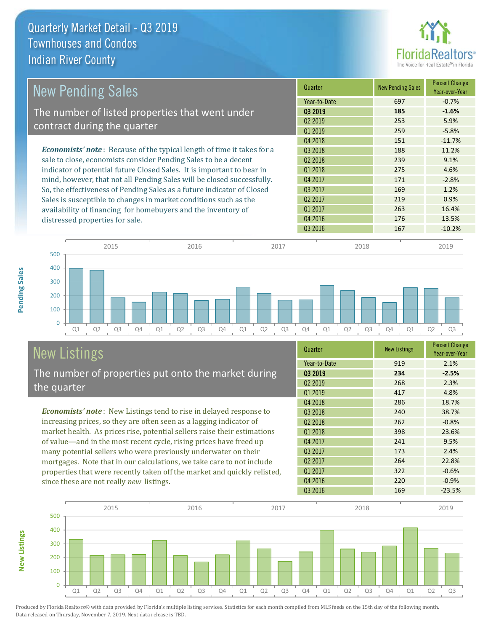

| <b>New Pending Sales</b>                                                       | Quarter             | <b>New Pending Sales</b> | <b>Percent Change</b><br>Year-over-Year |
|--------------------------------------------------------------------------------|---------------------|--------------------------|-----------------------------------------|
|                                                                                | Year-to-Date        | 697                      | $-0.7%$                                 |
| The number of listed properties that went under                                | 03 2019             | 185                      | $-1.6%$                                 |
| contract during the quarter                                                    | Q <sub>2</sub> 2019 | 253                      | 5.9%                                    |
|                                                                                | Q1 2019             | 259                      | $-5.8%$                                 |
|                                                                                | Q4 2018             | 151                      | $-11.7%$                                |
| <b>Economists' note</b> : Because of the typical length of time it takes for a | 03 2018             | 188                      | 11.2%                                   |
| sale to close, economists consider Pending Sales to be a decent                | Q <sub>2</sub> 2018 | 239                      | 9.1%                                    |
| indicator of potential future Closed Sales. It is important to bear in         | Q1 2018             | 275                      | 4.6%                                    |
| mind, however, that not all Pending Sales will be closed successfully.         | Q4 2017             | 171                      | $-2.8%$                                 |
| So, the effectiveness of Pending Sales as a future indicator of Closed         | Q3 2017             | 169                      | 1.2%                                    |
| Sales is susceptible to changes in market conditions such as the               | Q <sub>2</sub> 2017 | 219                      | 0.9%                                    |
| availability of financing for homebuyers and the inventory of                  | Q1 2017             | 263                      | 16.4%                                   |
| distressed properties for sale.                                                | Q4 2016             | 176                      | 13.5%                                   |
|                                                                                | Q3 2016             | 167                      | $-10.2%$                                |

**New Listings**



# New Listings

The number of properties put onto the market during the quarter

*Economists' note* : New Listings tend to rise in delayed response to increasing prices, so they are often seen as a lagging indicator of market health. As prices rise, potential sellers raise their estimations of value—and in the most recent cycle, rising prices have freed up many potential sellers who were previously underwater on their mortgages. Note that in our calculations, we take care to not include properties that were recently taken off the market and quickly relisted, since these are not really *new* listings.

| Quarter             | <b>New Listings</b> | <b>Percent Change</b><br>Year-over-Year |
|---------------------|---------------------|-----------------------------------------|
| Year-to-Date        | 919                 | 2.1%                                    |
| 03 2019             | 234                 | $-2.5%$                                 |
| Q <sub>2</sub> 2019 | 268                 | 2.3%                                    |
| Q1 2019             | 417                 | 4.8%                                    |
| Q4 2018             | 286                 | 18.7%                                   |
| Q3 2018             | 240                 | 38.7%                                   |
| Q <sub>2</sub> 2018 | 262                 | $-0.8%$                                 |
| Q1 2018             | 398                 | 23.6%                                   |
| Q4 2017             | 241                 | 9.5%                                    |
| Q3 2017             | 173                 | 2.4%                                    |
| Q <sub>2</sub> 2017 | 264                 | 22.8%                                   |
| Q1 2017             | 322                 | $-0.6%$                                 |
| Q4 2016             | 220                 | $-0.9%$                                 |
| Q3 2016             | 169                 | $-23.5%$                                |

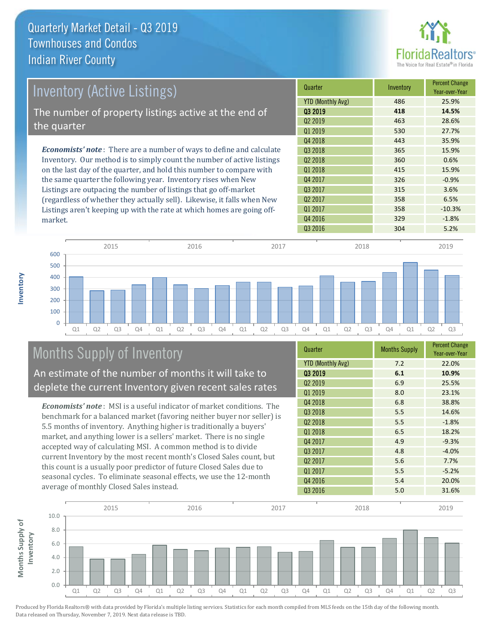

| Inventory (Active Listings)                                                  | Quarter                  | Inventory | <b>Percent Change</b><br>Year-over-Year |
|------------------------------------------------------------------------------|--------------------------|-----------|-----------------------------------------|
|                                                                              | <b>YTD (Monthly Avg)</b> | 486       | 25.9%                                   |
| The number of property listings active at the end of                         | 03 2019                  | 418       | 14.5%                                   |
|                                                                              | 02 2019                  | 463       | 28.6%                                   |
| the quarter                                                                  | Q1 2019                  | 530       | 27.7%                                   |
|                                                                              | Q4 2018                  | 443       | 35.9%                                   |
| <b>Economists' note</b> : There are a number of ways to define and calculate | 03 2018                  | 365       | 15.9%                                   |
| Inventory. Our method is to simply count the number of active listings       | Q <sub>2</sub> 2018      | 360       | 0.6%                                    |
| on the last day of the quarter, and hold this number to compare with         | Q1 2018                  | 415       | 15.9%                                   |
| the same quarter the following year. Inventory rises when New                | Q4 2017                  | 326       | $-0.9%$                                 |
| Listings are outpacing the number of listings that go off-market             | Q3 2017                  | 315       | 3.6%                                    |
| (regardless of whether they actually sell). Likewise, it falls when New      | Q <sub>2</sub> 2017      | 358       | 6.5%                                    |
| Listings aren't keeping up with the rate at which homes are going off-       | Q1 2017                  | 358       | $-10.3%$                                |



## Months Supply of Inventory

An estimate of the number of months it will take to deplete the current Inventory given recent sales rates

*Economists' note* : MSI is a useful indicator of market conditions. The benchmark for a balanced market (favoring neither buyer nor seller) is 5.5 months of inventory. Anything higher is traditionally a buyers' market, and anything lower is a sellers' market. There is no single accepted way of calculating MSI. A common method is to divide current Inventory by the most recent month's Closed Sales count, but this count is a usually poor predictor of future Closed Sales due to seasonal cycles. To eliminate seasonal effects, we use the 12-month average of monthly Closed Sales instead.

| Quarter                  | <b>Months Supply</b> | <b>Percent Change</b><br>Year-over-Year |
|--------------------------|----------------------|-----------------------------------------|
| <b>YTD (Monthly Avg)</b> | 7.2                  | 22.0%                                   |
| 03 2019                  | 6.1                  | 10.9%                                   |
| Q <sub>2</sub> 2019      | 6.9                  | 25.5%                                   |
| Q1 2019                  | 8.0                  | 23.1%                                   |
| Q4 2018                  | 6.8                  | 38.8%                                   |
| Q3 2018                  | 5.5                  | 14.6%                                   |
| Q <sub>2</sub> 2018      | 5.5                  | $-1.8%$                                 |
| Q1 2018                  | 6.5                  | 18.2%                                   |
| Q4 2017                  | 4.9                  | $-9.3%$                                 |
| Q3 2017                  | 4.8                  | $-4.0%$                                 |
| Q <sub>2</sub> 2017      | 5.6                  | 7.7%                                    |
| Q1 2017                  | 5.5                  | $-5.2%$                                 |
| Q4 2016                  | 5.4                  | 20.0%                                   |
| Q3 2016                  | 5.0                  | 31.6%                                   |

Q3 2016 304 5.2%

Q4 2016 329 -1.8%



Produced by Florida Realtors® with data provided by Florida's multiple listing services. Statistics for each month compiled from MLS feeds on the 15th day of the following month. Data released on Thursday, November 7, 2019. Next data release is TBD.

market.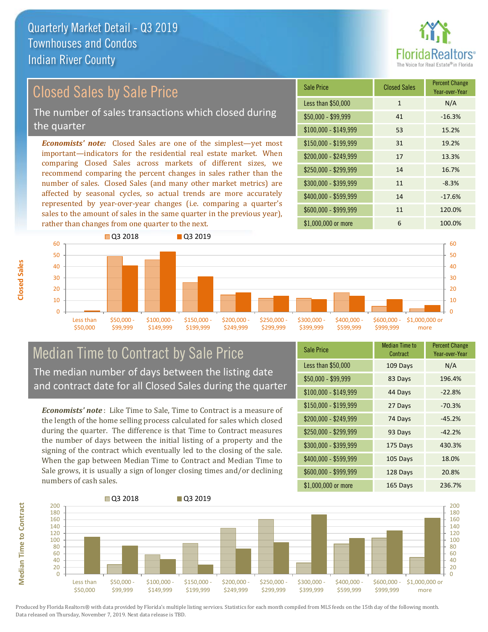

## Closed Sales by Sale Price

The number of sales transactions which closed during the quarter

*Economists' note:* Closed Sales are one of the simplest—yet most important—indicators for the residential real estate market. When comparing Closed Sales across markets of different sizes, we recommend comparing the percent changes in sales rather than the number of sales. Closed Sales (and many other market metrics) are affected by seasonal cycles, so actual trends are more accurately represented by year-over-year changes (i.e. comparing a quarter's sales to the amount of sales in the same quarter in the previous year), rather than changes from one quarter to the next.





### Median Time to Contract by Sale Price The median number of days between the listing date and contract date for all Closed Sales during the quarter

*Economists' note* : Like Time to Sale, Time to Contract is a measure of the length of the home selling process calculated for sales which closed during the quarter. The difference is that Time to Contract measures the number of days between the initial listing of a property and the signing of the contract which eventually led to the closing of the sale. When the gap between Median Time to Contract and Median Time to Sale grows, it is usually a sign of longer closing times and/or declining numbers of cash sales.

| <b>Sale Price</b>     | Median Time to<br>Contract | <b>Percent Change</b><br>Year-over-Year |
|-----------------------|----------------------------|-----------------------------------------|
| Less than \$50,000    | 109 Days                   | N/A                                     |
| $$50,000 - $99,999$   | 83 Days                    | 196.4%                                  |
| $$100,000 - $149,999$ | 44 Days                    | $-22.8%$                                |
| $$150,000 - $199,999$ | 27 Days                    | $-70.3%$                                |
| \$200,000 - \$249,999 | 74 Days                    | $-45.2%$                                |
| \$250,000 - \$299,999 | 93 Days                    | $-42.2%$                                |
| \$300,000 - \$399,999 | 175 Days                   | 430.3%                                  |
| \$400,000 - \$599,999 | 105 Days                   | 18.0%                                   |
| \$600,000 - \$999,999 | 128 Days                   | 20.8%                                   |
| \$1,000,000 or more   | 165 Days                   | 236.7%                                  |

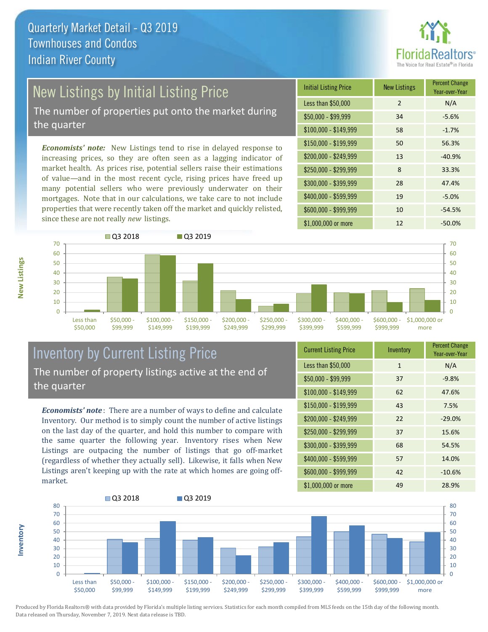

## New Listings by Initial Listing Price

The number of properties put onto the market during the quarter

*Economists' note:* New Listings tend to rise in delayed response to increasing prices, so they are often seen as a lagging indicator of market health. As prices rise, potential sellers raise their estimations of value—and in the most recent cycle, rising prices have freed up many potential sellers who were previously underwater on their mortgages. Note that in our calculations, we take care to not include properties that were recently taken off the market and quickly relisted, since these are not really *new* listings.

| <b>Initial Listing Price</b> | <b>New Listings</b> | <b>Percent Change</b><br>Year-over-Year |
|------------------------------|---------------------|-----------------------------------------|
| Less than \$50,000           | $\overline{2}$      | N/A                                     |
| $$50,000 - $99,999$          | 34                  | $-5.6%$                                 |
| $$100,000 - $149,999$        | 58                  | $-1.7%$                                 |
| $$150,000 - $199,999$        | 50                  | 56.3%                                   |
| \$200,000 - \$249,999        | 13                  | $-40.9%$                                |
| \$250,000 - \$299,999        | 8                   | 33.3%                                   |
| \$300,000 - \$399,999        | 28                  | 47.4%                                   |
| \$400,000 - \$599,999        | 19                  | $-5.0%$                                 |
| \$600,000 - \$999,999        | 10                  | $-54.5%$                                |
| \$1,000,000 or more          | 12                  | $-50.0\%$                               |



### Inventory by Current Listing Price The number of property listings active at the end of the quarter

*Economists' note* : There are a number of ways to define and calculate Inventory. Our method is to simply count the number of active listings on the last day of the quarter, and hold this number to compare with the same quarter the following year. Inventory rises when New Listings are outpacing the number of listings that go off-market (regardless of whether they actually sell). Likewise, it falls when New Listings aren't keeping up with the rate at which homes are going offmarket.

| <b>Current Listing Price</b> | Inventory    | <b>Percent Change</b><br>Year-over-Year |
|------------------------------|--------------|-----------------------------------------|
| Less than \$50,000           | $\mathbf{1}$ | N/A                                     |
| $$50,000 - $99,999$          | 37           | $-9.8%$                                 |
| $$100,000 - $149,999$        | 62           | 47.6%                                   |
| $$150,000 - $199,999$        | 43           | 7.5%                                    |
| \$200,000 - \$249,999        | 22           | $-29.0%$                                |
| \$250,000 - \$299,999        | 37           | 15.6%                                   |
| \$300,000 - \$399,999        | 68           | 54.5%                                   |
| \$400,000 - \$599,999        | 57           | 14.0%                                   |
| \$600,000 - \$999,999        | 42           | $-10.6%$                                |
| \$1,000,000 or more          | 49           | 28.9%                                   |



Produced by Florida Realtors® with data provided by Florida's multiple listing services. Statistics for each month compiled from MLS feeds on the 15th day of the following month. Data released on Thursday, November 7, 2019. Next data release is TBD.

**Inventory**